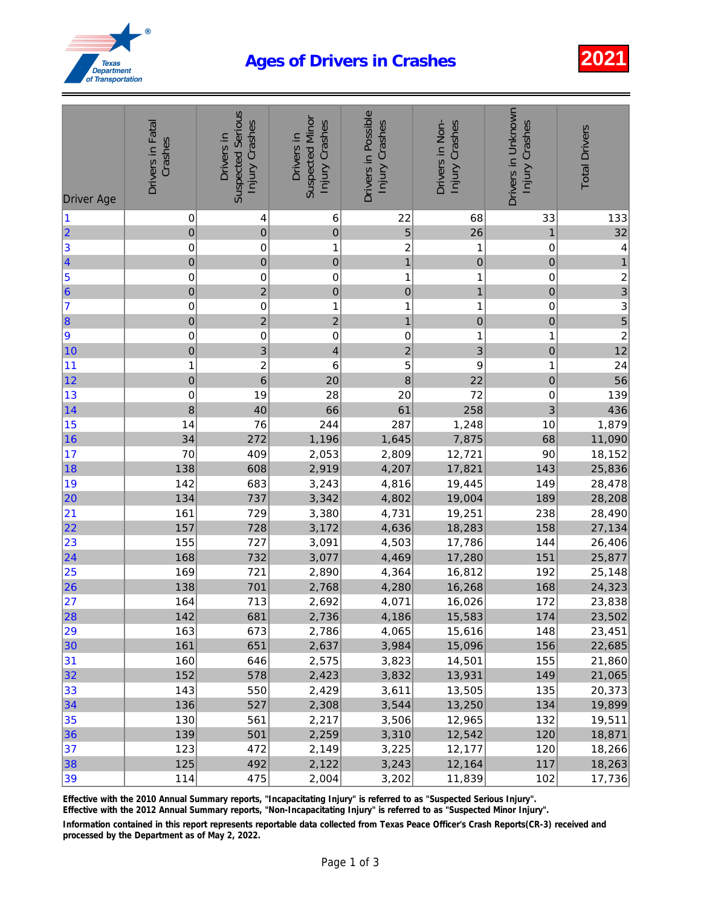## Ages of Drivers in Crashes 2021



| <b>Driver Age</b>     | Drivers in Fatal<br>Crashes | <b>Suspected Serious</b><br>Injury Crashes<br>Drivers in | <b>Suspected Minor</b><br>Injury Crashes<br>Drivers in | Drivers in Possible<br>Injury Crashes | Drivers in Non-<br>Injury Crashes | Drivers in Unknown<br>Injury Crashes | <b>Total Drivers</b>                       |
|-----------------------|-----------------------------|----------------------------------------------------------|--------------------------------------------------------|---------------------------------------|-----------------------------------|--------------------------------------|--------------------------------------------|
| $\vert$ 1             | 0                           | 4                                                        | 6                                                      | 22                                    | 68                                | 33                                   | 133                                        |
|                       | $\pmb{0}$                   | $\pmb{0}$                                                | $\mathbf 0$                                            | 5                                     | 26                                | 1                                    | 32                                         |
| 2 3 4 5 6 7 8 9       | $\pmb{0}$                   | $\pmb{0}$                                                | 1                                                      | $\overline{c}$                        | 1                                 | $\mathbf 0$                          | $\overline{\mathcal{L}}$                   |
|                       | $\pmb{0}$                   | $\overline{0}$                                           | $\pmb{0}$                                              | $\overline{1}$                        | $\mathbf 0$                       | $\mathbf 0$                          | $\overline{1}$                             |
|                       | $\pmb{0}$                   | $\pmb{0}$                                                | $\pmb{0}$                                              | 1                                     | 1                                 | 0                                    | $rac{2}{3}$                                |
|                       | $\pmb{0}$                   | $\overline{c}$                                           | $\pmb{0}$                                              | $\mathbf 0$                           | $\mathbf{1}$                      | $\mathbf{0}$                         |                                            |
|                       | $\pmb{0}$                   | $\pmb{0}$                                                | 1                                                      | 1                                     | 1                                 | 0                                    |                                            |
|                       | $\pmb{0}$                   | $\overline{\mathbf{c}}$                                  | $\overline{c}$                                         | $\mathbf{1}$                          | $\mathbf 0$                       | $\mathbf{O}$                         | $\begin{array}{c} 3 \\ 5 \\ 2 \end{array}$ |
|                       | $\pmb{0}$                   | $\pmb{0}$                                                | $\pmb{0}$                                              | 0                                     | 1                                 | $\mathbf{1}$                         |                                            |
| 10                    | $\pmb{0}$                   | $\overline{3}$                                           | $\overline{\mathcal{A}}$                               | $\overline{c}$                        | 3                                 | $\mathbf{0}$                         | 12                                         |
| 11                    | 1                           | $\overline{\mathbf{c}}$                                  | 6                                                      | 5                                     | 9                                 | 1                                    | 24                                         |
| 12                    | $\mathbf 0$                 | $\overline{6}$                                           | 20                                                     | 8                                     | 22                                | $\mathbf 0$                          | 56                                         |
| 13                    | $\pmb{0}$                   | 19                                                       | 28                                                     | 20                                    | 72                                | $\pmb{0}$                            | 139                                        |
| 14                    | 8                           | 40                                                       | 66                                                     | 61                                    | 258                               | 3                                    | 436                                        |
| 15                    | 14                          | 76                                                       | 244                                                    | 287                                   | 1,248                             | 10                                   | 1,879                                      |
| 16                    | 34                          | 272                                                      | 1,196                                                  | 1,645                                 | 7,875                             | 68                                   | 11,090                                     |
| 17                    | 70                          | 409                                                      | 2,053                                                  | 2,809                                 | 12,721                            | 90                                   | 18,152                                     |
| 18                    | 138                         | 608                                                      | 2,919                                                  | 4,207                                 | 17,821                            | 143                                  | 25,836                                     |
| 19                    | 142                         | 683                                                      | 3,243                                                  | 4,816                                 | 19,445                            | 149                                  | 28,478                                     |
| 20                    | 134                         | 737                                                      | 3,342                                                  | 4,802                                 | 19,004                            | 189                                  | 28,208                                     |
| 21                    | 161                         | 729                                                      | 3,380                                                  | 4,731                                 | 19,251                            | 238                                  | 28,490                                     |
| 22                    | 157                         | 728                                                      | 3,172                                                  | 4,636                                 | 18,283                            | 158                                  | 27,134                                     |
| 23<br>$\overline{24}$ | 155                         | 727                                                      | 3,091                                                  | 4,503                                 | 17,786                            | 144                                  | 26,406                                     |
| 25                    | 168<br>169                  | 732<br>721                                               | 3,077                                                  | 4,469                                 | 17,280                            | 151                                  | 25,877                                     |
| 26                    | 138                         | 701                                                      | 2,890<br>2,768                                         | 4,364<br>4,280                        | 16,812<br>16,268                  | 192<br>168                           | 25,148<br>24,323                           |
|                       | 164                         | 713                                                      | 2,692                                                  | 4,071                                 | 16,026                            | 172                                  | 23,838                                     |
| 27<br> 28             | 142                         | 681                                                      | 2,736                                                  | 4,186                                 | 15,583                            | 174                                  | 23,502                                     |
| 29                    | 163                         | 673                                                      | 2,786                                                  | 4,065                                 | 15,616                            | 148                                  | 23,451                                     |
| 30                    | 161                         | 651                                                      | 2,637                                                  | 3,984                                 | 15,096                            | 156                                  | 22,685                                     |
| 31                    | 160                         | 646                                                      | 2,575                                                  | 3,823                                 | 14,501                            | 155                                  | 21,860                                     |
| 32                    | 152                         | 578                                                      | 2,423                                                  | 3,832                                 | 13,931                            | 149                                  | 21,065                                     |
| 33                    | 143                         | 550                                                      | 2,429                                                  | 3,611                                 | 13,505                            | 135                                  | 20,373                                     |
| 34                    | 136                         | 527                                                      | 2,308                                                  | 3,544                                 | 13,250                            | 134                                  | 19,899                                     |
| 35                    | 130                         | 561                                                      | 2,217                                                  | 3,506                                 | 12,965                            | 132                                  | 19,511                                     |
| 36                    | 139                         | 501                                                      | 2,259                                                  | 3,310                                 | 12,542                            | 120                                  | 18,871                                     |
| 37                    | 123                         | 472                                                      | 2,149                                                  | 3,225                                 | 12,177                            | 120                                  | 18,266                                     |
| 38                    | 125                         | 492                                                      | 2,122                                                  | 3,243                                 | 12,164                            | 117                                  | 18,263                                     |
| 39                    | 114                         | 475                                                      | 2,004                                                  | 3,202                                 | 11,839                            | 102                                  | 17,736                                     |

Effective with the 2010 Annual Summary reports, "Incapacitating Injury" is referred to as "Suspected Serious Injury".

Effective with the 2012 Annual Summary reports, "Non-Incapacitating Injury" is referred to as "Suspected Minor Injury".

Information contained in this report represents reportable data collected from Texas Peace Officer's Crash Reports(CR-3) received and processed by the Department as of May 2, 2022.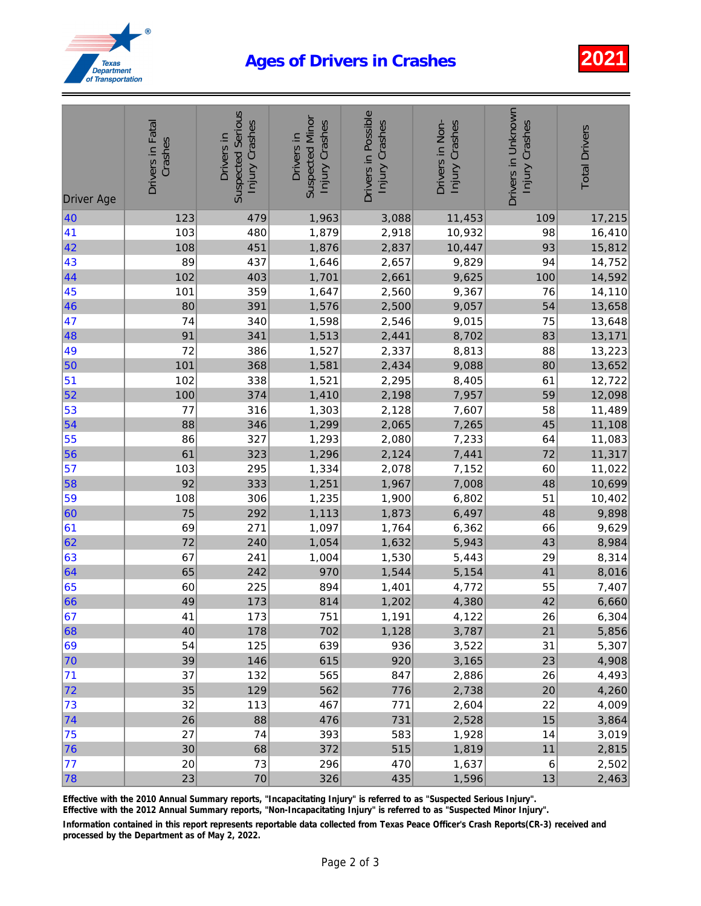## Ages of Drivers in Crashes 2021



| <b>Driver Age</b> | Drivers in Fatal<br>Crashes | <b>Suspected Serious</b><br>Injury Crashes<br>Drivers in | <b>Suspected Minor</b><br>Injury Crashes<br>Drivers in | Drivers in Possible<br>Injury Crashes | Drivers in Non-<br>Injury Crashes | Drivers in Unknown<br>Injury Crashes | <b>Total Drivers</b> |
|-------------------|-----------------------------|----------------------------------------------------------|--------------------------------------------------------|---------------------------------------|-----------------------------------|--------------------------------------|----------------------|
| 40                | 123                         | 479                                                      | 1,963                                                  | 3,088                                 | 11,453                            | 109                                  | 17,215               |
| 41                | 103                         | 480                                                      | 1,879                                                  | 2,918                                 | 10,932                            | 98                                   | 16,410               |
| 42                | 108                         | 451                                                      | 1,876                                                  | 2,837                                 | 10,447                            | 93                                   | 15,812               |
| 43                | 89                          | 437                                                      | 1,646                                                  | 2,657                                 | 9,829                             | 94                                   | 14,752               |
| 44                | 102                         | 403                                                      | 1,701                                                  | 2,661                                 | 9,625                             | 100                                  | 14,592               |
| 45                | 101                         | 359                                                      | 1,647                                                  | 2,560                                 | 9,367                             | 76                                   | 14,110               |
| 46                | 80                          | 391                                                      | 1,576                                                  | 2,500                                 | 9,057                             | 54                                   | 13,658               |
| 47                | 74                          | 340                                                      | 1,598                                                  | 2,546                                 | 9,015                             | 75                                   | 13,648               |
| 48                | 91                          | 341                                                      | 1,513                                                  | 2,441                                 | 8,702                             | 83                                   | 13,171               |
| 49                | 72                          | 386                                                      | 1,527                                                  | 2,337                                 | 8,813                             | 88                                   | 13,223               |
| 50                | 101                         | 368                                                      | 1,581                                                  | 2,434                                 | 9,088                             | 80                                   | 13,652               |
| $\vert$ 51        | 102                         | 338                                                      | 1,521                                                  | 2,295                                 | 8,405                             | 61                                   | 12,722               |
| 52                | 100                         | 374                                                      | 1,410                                                  | 2,198                                 | 7,957                             | 59                                   | 12,098               |
| 53                | 77                          | 316                                                      | 1,303                                                  | 2,128                                 | 7,607                             | 58                                   | 11,489               |
| 54                | 88                          | 346                                                      | 1,299                                                  | 2,065                                 | 7,265                             | 45                                   | 11,108               |
| 55                | 86                          | 327                                                      | 1,293                                                  | 2,080                                 | 7,233                             | 64                                   | 11,083               |
| 56                | 61                          | 323                                                      | 1,296                                                  | 2,124                                 | 7,441                             | 72                                   | 11,317               |
| 57                | 103                         | 295                                                      | 1,334                                                  | 2,078                                 | 7,152                             | 60                                   | 11,022               |
| 58                | 92                          | 333                                                      | 1,251                                                  | 1,967                                 | 7,008                             | 48                                   | 10,699               |
| 59                | 108                         | 306                                                      | 1,235                                                  | 1,900                                 | 6,802                             | 51                                   | 10,402               |
| 60                | 75                          | 292                                                      | 1,113                                                  | 1,873                                 | 6,497                             | 48                                   | 9,898                |
| 61                | 69                          | 271                                                      | 1,097                                                  | 1,764                                 | 6,362                             | 66                                   | 9,629                |
| 62                | 72                          | 240                                                      | 1,054                                                  | 1,632                                 | 5,943                             | 43                                   | 8,984                |
| 63                | 67                          | 241                                                      | 1,004                                                  | 1,530                                 | 5,443                             | 29                                   | 8,314                |
| 64                | 65                          | 242                                                      | 970                                                    | 1,544                                 | 5,154                             | 41                                   | 8,016                |
| 65                | 60                          | 225                                                      | 894                                                    | 1,401                                 | 4,772                             | 55                                   | 7,407                |
| 66                | 49                          | 173                                                      | 814                                                    | 1,202                                 | 4,380                             | 42                                   | 6,660                |
| 67                | 41                          | 173                                                      | 751                                                    | 1,191                                 | 4,122                             | 26                                   | 6,304                |
| 68                | 40                          | 178                                                      | 702                                                    | 1,128                                 | 3,787                             | 21                                   | 5,856                |
| 69                | 54                          | 125                                                      | 639                                                    | 936                                   | 3,522                             | 31                                   | 5,307                |
| 70                | 39                          | 146                                                      | 615                                                    | 920                                   | 3,165                             | 23                                   | 4,908                |
| 71                | 37                          | 132                                                      | 565                                                    | 847                                   | 2,886                             | 26                                   | 4,493                |
| 72                | 35                          | 129                                                      | 562                                                    | 776                                   | 2,738                             | 20                                   | 4,260                |
| 73                | 32                          | 113                                                      | 467                                                    | 771                                   | 2,604                             | 22                                   | 4,009                |
| 74                | 26                          | 88                                                       | 476                                                    | 731                                   | 2,528                             | 15                                   | 3,864                |
| 75                | 27                          | 74                                                       | 393                                                    | 583                                   | 1,928                             | 14                                   | 3,019                |
| 76                | 30                          | 68                                                       | 372                                                    | 515                                   | 1,819                             | 11                                   | 2,815                |
| 77                | 20                          | 73                                                       | 296                                                    | 470                                   | 1,637                             | 6                                    | 2,502                |
| 78                | 23                          | 70                                                       | 326                                                    | 435                                   | 1,596                             | 13                                   | 2,463                |

Effective with the 2010 Annual Summary reports, "Incapacitating Injury" is referred to as "Suspected Serious Injury".

Effective with the 2012 Annual Summary reports, "Non-Incapacitating Injury" is referred to as "Suspected Minor Injury".

Information contained in this report represents reportable data collected from Texas Peace Officer's Crash Reports(CR-3) received and processed by the Department as of May 2, 2022.